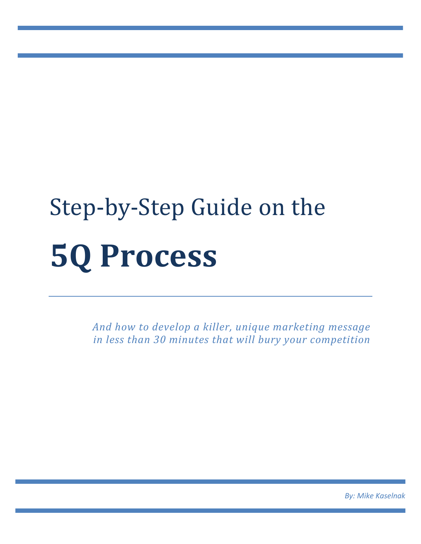# Step-by-Step Guide on the **5Q Process**

*And how to develop a killer, unique marketing message in less than 30 minutes that will bury your competition*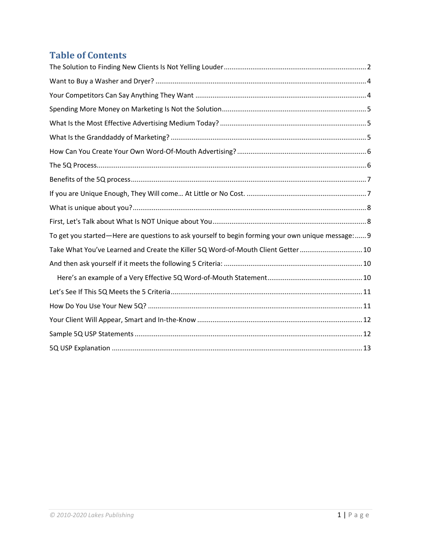# **Table of Contents**

| To get you started—Here are questions to ask yourself to begin forming your own unique message: 9 |
|---------------------------------------------------------------------------------------------------|
| Take What You've Learned and Create the Killer 5Q Word-of-Mouth Client Getter  10                 |
|                                                                                                   |
|                                                                                                   |
|                                                                                                   |
|                                                                                                   |
|                                                                                                   |
|                                                                                                   |
|                                                                                                   |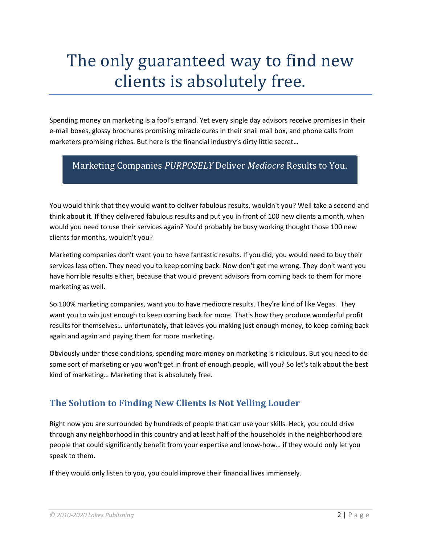# The only guaranteed way to find new clients is absolutely free.

Spending money on marketing is a fool's errand. Yet every single day advisors receive promises in their e-mail boxes, glossy brochures promising miracle cures in their snail mail box, and phone calls from marketers promising riches. But here is the financial industry's dirty little secret…

# Marketing Companies *PURPOSELY* Deliver *Mediocre* Results to You.

You would think that they would want to deliver fabulous results, wouldn't you? Well take a second and think about it. If they delivered fabulous results and put you in front of 100 new clients a month, when would you need to use their services again? You'd probably be busy working thought those 100 new clients for months, wouldn't you?

Marketing companies don't want you to have fantastic results. If you did, you would need to buy their services less often. They need you to keep coming back. Now don't get me wrong. They don't want you have horrible results either, because that would prevent advisors from coming back to them for more marketing as well.

So 100% marketing companies, want you to have mediocre results. They're kind of like Vegas. They want you to win just enough to keep coming back for more. That's how they produce wonderful profit results for themselves… unfortunately, that leaves you making just enough money, to keep coming back again and again and paying them for more marketing.

Obviously under these conditions, spending more money on marketing is ridiculous. But you need to do some sort of marketing or you won't get in front of enough people, will you? So let's talk about the best kind of marketing… Marketing that is absolutely free.

# <span id="page-2-0"></span>**The Solution to Finding New Clients Is Not Yelling Louder**

Right now you are surrounded by hundreds of people that can use your skills. Heck, you could drive through any neighborhood in this country and at least half of the households in the neighborhood are people that could significantly benefit from your expertise and know-how… if they would only let you speak to them.

If they would only listen to you, you could improve their financial lives immensely.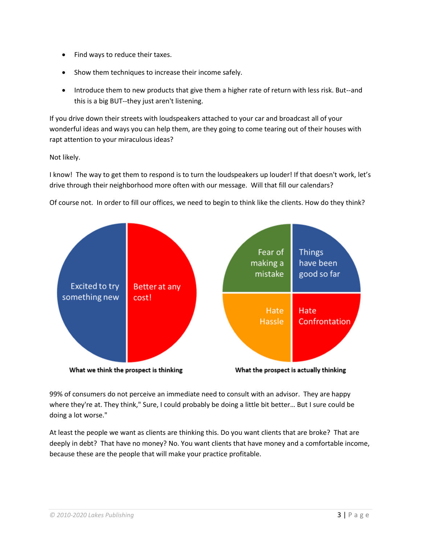- Find ways to reduce their taxes.
- Show them techniques to increase their income safely.
- Introduce them to new products that give them a higher rate of return with less risk. But--and this is a big BUT--they just aren't listening.

If you drive down their streets with loudspeakers attached to your car and broadcast all of your wonderful ideas and ways you can help them, are they going to come tearing out of their houses with rapt attention to your miraculous ideas?

Not likely.

I know! The way to get them to respond is to turn the loudspeakers up louder! If that doesn't work, let's drive through their neighborhood more often with our message. Will that fill our calendars?

Of course not. In order to fill our offices, we need to begin to think like the clients. How do they think?



99% of consumers do not perceive an immediate need to consult with an advisor. They are happy where they're at. They think," Sure, I could probably be doing a little bit better... But I sure could be doing a lot worse."

At least the people we want as clients are thinking this. Do you want clients that are broke? That are deeply in debt? That have no money? No. You want clients that have money and a comfortable income, because these are the people that will make your practice profitable.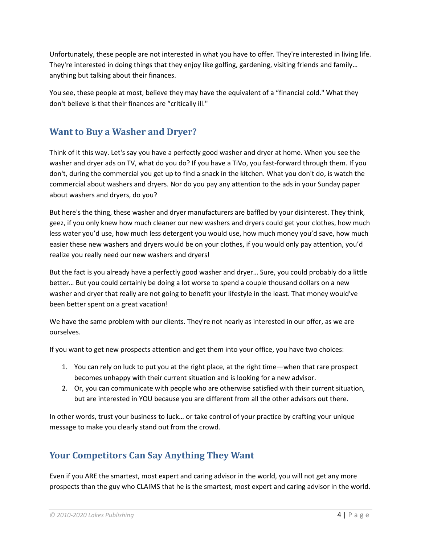Unfortunately, these people are not interested in what you have to offer. They're interested in living life. They're interested in doing things that they enjoy like golfing, gardening, visiting friends and family… anything but talking about their finances.

You see, these people at most, believe they may have the equivalent of a "financial cold." What they don't believe is that their finances are "critically ill."

# <span id="page-4-0"></span>**Want to Buy a Washer and Dryer?**

Think of it this way. Let's say you have a perfectly good washer and dryer at home. When you see the washer and dryer ads on TV, what do you do? If you have a TiVo, you fast-forward through them. If you don't, during the commercial you get up to find a snack in the kitchen. What you don't do, is watch the commercial about washers and dryers. Nor do you pay any attention to the ads in your Sunday paper about washers and dryers, do you?

But here's the thing, these washer and dryer manufacturers are baffled by your disinterest. They think, geez, if you only knew how much cleaner our new washers and dryers could get your clothes, how much less water you'd use, how much less detergent you would use, how much money you'd save, how much easier these new washers and dryers would be on your clothes, if you would only pay attention, you'd realize you really need our new washers and dryers!

But the fact is you already have a perfectly good washer and dryer… Sure, you could probably do a little better… But you could certainly be doing a lot worse to spend a couple thousand dollars on a new washer and dryer that really are not going to benefit your lifestyle in the least. That money would've been better spent on a great vacation!

We have the same problem with our clients. They're not nearly as interested in our offer, as we are ourselves.

If you want to get new prospects attention and get them into your office, you have two choices:

- 1. You can rely on luck to put you at the right place, at the right time—when that rare prospect becomes unhappy with their current situation and is looking for a new advisor.
- 2. Or, you can communicate with people who are otherwise satisfied with their current situation, but are interested in YOU because you are different from all the other advisors out there.

In other words, trust your business to luck… or take control of your practice by crafting your unique message to make you clearly stand out from the crowd.

# <span id="page-4-1"></span>**Your Competitors Can Say Anything They Want**

Even if you ARE the smartest, most expert and caring advisor in the world, you will not get any more prospects than the guy who CLAIMS that he is the smartest, most expert and caring advisor in the world.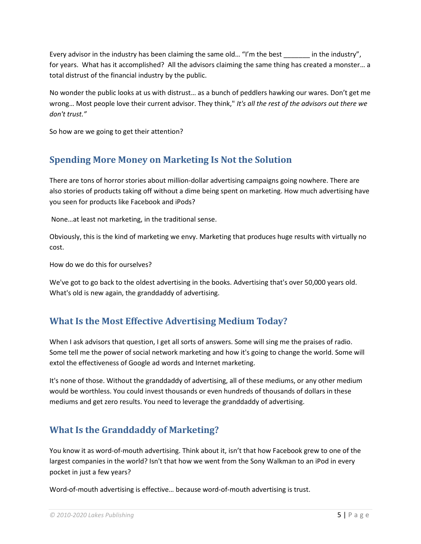Every advisor in the industry has been claiming the same old... "I'm the best \_\_\_\_\_\_\_ in the industry", for years. What has it accomplished? All the advisors claiming the same thing has created a monster… a total distrust of the financial industry by the public.

No wonder the public looks at us with distrust… as a bunch of peddlers hawking our wares. Don't get me wrong… Most people love their current advisor. They think," *It's all the rest of the advisors out there we don't trust."*

So how are we going to get their attention?

# <span id="page-5-0"></span>**Spending More Money on Marketing Is Not the Solution**

There are tons of horror stories about million-dollar advertising campaigns going nowhere. There are also stories of products taking off without a dime being spent on marketing. How much advertising have you seen for products like Facebook and iPods?

None…at least not marketing, in the traditional sense.

Obviously, this is the kind of marketing we envy. Marketing that produces huge results with virtually no cost.

How do we do this for ourselves?

We've got to go back to the oldest advertising in the books. Advertising that's over 50,000 years old. What's old is new again, the granddaddy of advertising.

# <span id="page-5-1"></span>**What Is the Most Effective Advertising Medium Today?**

When I ask advisors that question, I get all sorts of answers. Some will sing me the praises of radio. Some tell me the power of social network marketing and how it's going to change the world. Some will extol the effectiveness of Google ad words and Internet marketing.

It's none of those. Without the granddaddy of advertising, all of these mediums, or any other medium would be worthless. You could invest thousands or even hundreds of thousands of dollars in these mediums and get zero results. You need to leverage the granddaddy of advertising.

# <span id="page-5-2"></span>**What Is the Granddaddy of Marketing?**

You know it as word-of-mouth advertising. Think about it, isn't that how Facebook grew to one of the largest companies in the world? Isn't that how we went from the Sony Walkman to an iPod in every pocket in just a few years?

Word-of-mouth advertising is effective… because word-of-mouth advertising is trust.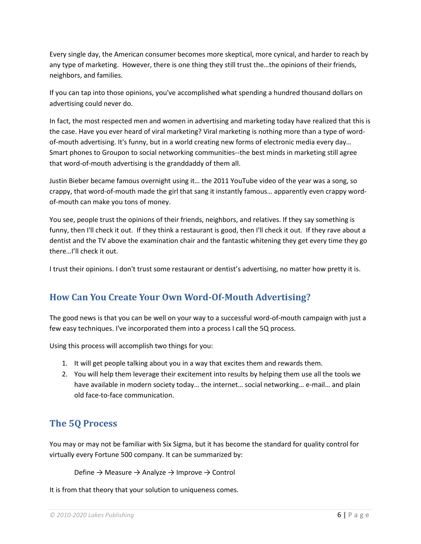Every single day, the American consumer becomes more skeptical, more cynical, and harder to reach by any type of marketing. However, there is one thing they still trust the…the opinions of their friends, neighbors, and families.

If you can tap into those opinions, you've accomplished what spending a hundred thousand dollars on advertising could never do.

In fact, the most respected men and women in advertising and marketing today have realized that this is the case. Have you ever heard of viral marketing? Viral marketing is nothing more than a type of wordof-mouth advertising. It's funny, but in a world creating new forms of electronic media every day… Smart phones to Groupon to social networking communities--the best minds in marketing still agree that word-of-mouth advertising is the granddaddy of them all.

Justin Bieber became famous overnight using it… the 2011 YouTube video of the year was a song, so crappy, that word-of-mouth made the girl that sang it instantly famous… apparently even crappy wordof-mouth can make you tons of money.

You see, people trust the opinions of their friends, neighbors, and relatives. If they say something is funny, then I'll check it out. If they think a restaurant is good, then I'll check it out. If they rave about a dentist and the TV above the examination chair and the fantastic whitening they get every time they go there…I'll check it out.

I trust their opinions. I don't trust some restaurant or dentist's advertising, no matter how pretty it is.

# <span id="page-6-0"></span>**How Can You Create Your Own Word-Of-Mouth Advertising?**

The good news is that you can be well on your way to a successful word-of-mouth campaign with just a few easy techniques. I've incorporated them into a process I call the 5Q process.

Using this process will accomplish two things for you:

- 1. It will get people talking about you in a way that excites them and rewards them.
- 2. You will help them leverage their excitement into results by helping them use all the tools we have available in modern society today… the internet… social networking… e-mail… and plain old face-to-face communication.

# <span id="page-6-1"></span>**The 5Q Process**

You may or may not be familiar with Six Sigma, but it has become the standard for quality control for virtually every Fortune 500 company. It can be summarized by:

```
Define \rightarrow Measure \rightarrow Analyze \rightarrow Improve \rightarrow Control
```
It is from that theory that your solution to uniqueness comes.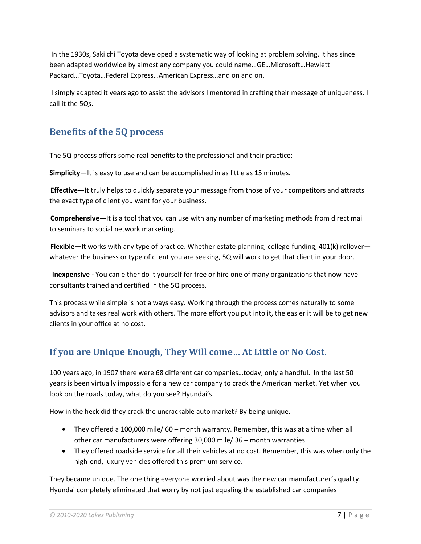In the 1930s, Saki chi Toyota developed a systematic way of looking at problem solving. It has since been adapted worldwide by almost any company you could name…GE…Microsoft…Hewlett Packard…Toyota…Federal Express…American Express…and on and on.

I simply adapted it years ago to assist the advisors I mentored in crafting their message of uniqueness. I call it the 5Qs.

# <span id="page-7-0"></span>**Benefits of the 5Q process**

The 5Q process offers some real benefits to the professional and their practice:

**Simplicity—**It is easy to use and can be accomplished in as little as 15 minutes.

**Effective—**It truly helps to quickly separate your message from those of your competitors and attracts the exact type of client you want for your business.

**Comprehensive—**It is a tool that you can use with any number of marketing methods from direct mail to seminars to social network marketing.

**Flexible—**It works with any type of practice. Whether estate planning, college-funding, 401(k) rollover whatever the business or type of client you are seeking, 5Q will work to get that client in your door.

**Inexpensive -** You can either do it yourself for free or hire one of many organizations that now have consultants trained and certified in the 5Q process.

This process while simple is not always easy. Working through the process comes naturally to some advisors and takes real work with others. The more effort you put into it, the easier it will be to get new clients in your office at no cost.

# <span id="page-7-1"></span>**If you are Unique Enough, They Will come… At Little or No Cost.**

100 years ago, in 1907 there were 68 different car companies…today, only a handful. In the last 50 years is been virtually impossible for a new car company to crack the American market. Yet when you look on the roads today, what do you see? Hyundai's.

How in the heck did they crack the uncrackable auto market? By being unique.

- They offered a 100,000 mile/ 60 month warranty. Remember, this was at a time when all other car manufacturers were offering 30,000 mile/ 36 – month warranties.
- They offered roadside service for all their vehicles at no cost. Remember, this was when only the high-end, luxury vehicles offered this premium service.

They became unique. The one thing everyone worried about was the new car manufacturer's quality. Hyundai completely eliminated that worry by not just equaling the established car companies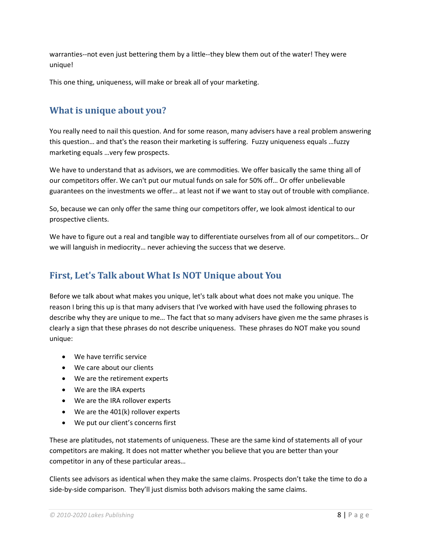warranties--not even just bettering them by a little--they blew them out of the water! They were unique!

This one thing, uniqueness, will make or break all of your marketing.

# <span id="page-8-0"></span>**What is unique about you?**

You really need to nail this question. And for some reason, many advisers have a real problem answering this question… and that's the reason their marketing is suffering. Fuzzy uniqueness equals …fuzzy marketing equals …very few prospects.

We have to understand that as advisors, we are commodities. We offer basically the same thing all of our competitors offer. We can't put our mutual funds on sale for 50% off… Or offer unbelievable guarantees on the investments we offer… at least not if we want to stay out of trouble with compliance.

So, because we can only offer the same thing our competitors offer, we look almost identical to our prospective clients.

We have to figure out a real and tangible way to differentiate ourselves from all of our competitors… Or we will languish in mediocrity… never achieving the success that we deserve.

# <span id="page-8-1"></span>**First, Let's Talk about What Is NOT Unique about You**

Before we talk about what makes you unique, let's talk about what does not make you unique. The reason I bring this up is that many advisers that I've worked with have used the following phrases to describe why they are unique to me… The fact that so many advisers have given me the same phrases is clearly a sign that these phrases do not describe uniqueness. These phrases do NOT make you sound unique:

- We have terrific service
- We care about our clients
- We are the retirement experts
- We are the IRA experts
- We are the IRA rollover experts
- We are the 401(k) rollover experts
- We put our client's concerns first

These are platitudes, not statements of uniqueness. These are the same kind of statements all of your competitors are making. It does not matter whether you believe that you are better than your competitor in any of these particular areas…

Clients see advisors as identical when they make the same claims. Prospects don't take the time to do a side-by-side comparison. They'll just dismiss both advisors making the same claims.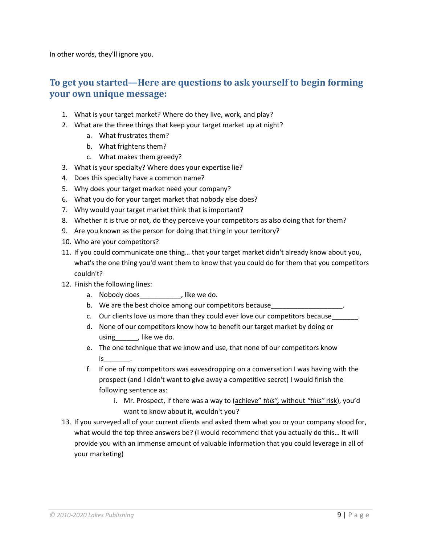In other words, they'll ignore you.

# <span id="page-9-0"></span>**To get you started—Here are questions to ask yourself to begin forming your own unique message:**

- 1. What is your target market? Where do they live, work, and play?
- 2. What are the three things that keep your target market up at night?
	- a. What frustrates them?
	- b. What frightens them?
	- c. What makes them greedy?
- 3. What is your specialty? Where does your expertise lie?
- 4. Does this specialty have a common name?
- 5. Why does your target market need your company?
- 6. What you do for your target market that nobody else does?
- 7. Why would your target market think that is important?
- 8. Whether it is true or not, do they perceive your competitors as also doing that for them?
- 9. Are you known as the person for doing that thing in your territory?
- 10. Who are your competitors?
- 11. If you could communicate one thing… that your target market didn't already know about you, what's the one thing you'd want them to know that you could do for them that you competitors couldn't?
- 12. Finish the following lines:
	- a. Nobody does \_\_\_\_\_\_\_\_\_\_, like we do.
	- b. We are the best choice among our competitors because\_\_\_\_\_\_\_\_\_\_\_\_\_\_\_\_\_\_\_\_\_\_\_\_\_
	- c. Our clients love us more than they could ever love our competitors because
	- d. None of our competitors know how to benefit our target market by doing or using , like we do.
	- e. The one technique that we know and use, that none of our competitors know is\_\_\_\_\_\_\_.
	- f. If one of my competitors was eavesdropping on a conversation I was having with the prospect (and I didn't want to give away a competitive secret) I would finish the following sentence as:
		- i. Mr. Prospect, if there was a way to (achieve" *this",* without *"this"* risk), you'd want to know about it, wouldn't you?
- 13. If you surveyed all of your current clients and asked them what you or your company stood for, what would the top three answers be? (I would recommend that you actually do this… It will provide you with an immense amount of valuable information that you could leverage in all of your marketing)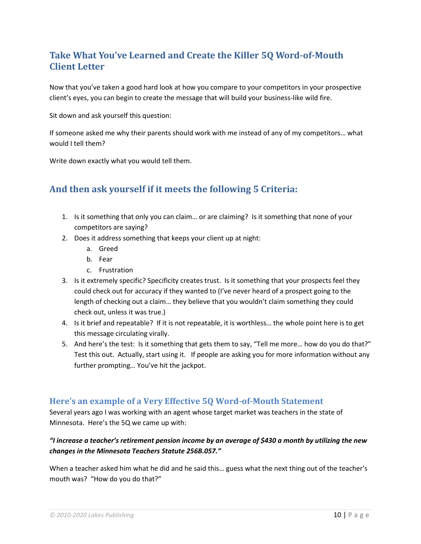# <span id="page-10-0"></span>**Take What You've Learned and Create the Killer 5Q Word-of-Mouth Client Letter**

Now that you've taken a good hard look at how you compare to your competitors in your prospective client's eyes, you can begin to create the message that will build your business-like wild fire.

Sit down and ask yourself this question:

If someone asked me why their parents should work with me instead of any of my competitors… what would I tell them?

Write down exactly what you would tell them.

# <span id="page-10-1"></span>**And then ask yourself if it meets the following 5 Criteria:**

- 1. Is it something that only you can claim… or are claiming? Is it something that none of your competitors are saying?
- 2. Does it address something that keeps your client up at night:
	- a. Greed
	- b. Fear
	- c. Frustration
- 3. Is it extremely specific? Specificity creates trust. Is it something that your prospects feel they could check out for accuracy if they wanted to (I've never heard of a prospect going to the length of checking out a claim… they believe that you wouldn't claim something they could check out, unless it was true.)
- 4. Is it brief and repeatable? If it is not repeatable, it is worthless… the whole point here is to get this message circulating virally.
- 5. And here's the test: Is it something that gets them to say, "Tell me more… how do you do that?" Test this out. Actually, start using it. If people are asking you for more information without any further prompting… You've hit the jackpot.

#### <span id="page-10-2"></span>**Here's an example of a Very Effective 5Q Word-of-Mouth Statement**

Several years ago I was working with an agent whose target market was teachers in the state of Minnesota. Here's the 5Q we came up with:

#### *"I increase a teacher's retirement pension income by an average of \$430 a month by utilizing the new changes in the Minnesota Teachers Statute 256B.057."*

When a teacher asked him what he did and he said this… guess what the next thing out of the teacher's mouth was? "How do you do that?"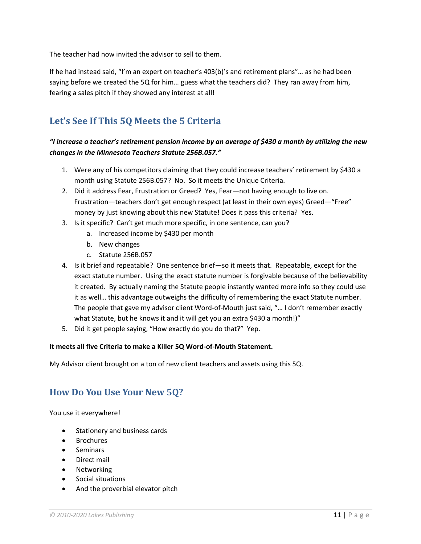The teacher had now invited the advisor to sell to them.

If he had instead said, "I'm an expert on teacher's 403(b)'s and retirement plans"… as he had been saying before we created the 5Q for him… guess what the teachers did? They ran away from him, fearing a sales pitch if they showed any interest at all!

# <span id="page-11-0"></span>**Let's See If This 5Q Meets the 5 Criteria**

#### *"I increase a teacher's retirement pension income by an average of \$430 a month by utilizing the new changes in the Minnesota Teachers Statute 256B.057."*

- 1. Were any of his competitors claiming that they could increase teachers' retirement by \$430 a month using Statute 256B.057? No. So it meets the Unique Criteria.
- 2. Did it address Fear, Frustration or Greed? Yes, Fear—not having enough to live on. Frustration—teachers don't get enough respect (at least in their own eyes) Greed—"Free" money by just knowing about this new Statute! Does it pass this criteria? Yes.
- 3. Is it specific? Can't get much more specific, in one sentence, can you?
	- a. Increased income by \$430 per month
	- b. New changes
	- c. Statute 256B.057
- 4. Is it brief and repeatable? One sentence brief—so it meets that. Repeatable, except for the exact statute number. Using the exact statute number is forgivable because of the believability it created. By actually naming the Statute people instantly wanted more info so they could use it as well… this advantage outweighs the difficulty of remembering the exact Statute number. The people that gave my advisor client Word-of-Mouth just said, "… I don't remember exactly what Statute, but he knows it and it will get you an extra \$430 a month!)"
- 5. Did it get people saying, "How exactly do you do that?" Yep.

#### **It meets all five Criteria to make a Killer 5Q Word-of-Mouth Statement.**

My Advisor client brought on a ton of new client teachers and assets using this 5Q.

#### <span id="page-11-1"></span>**How Do You Use Your New 5Q?**

You use it everywhere!

- Stationery and business cards
- Brochures
- **Seminars**
- Direct mail
- Networking
- Social situations
- And the proverbial elevator pitch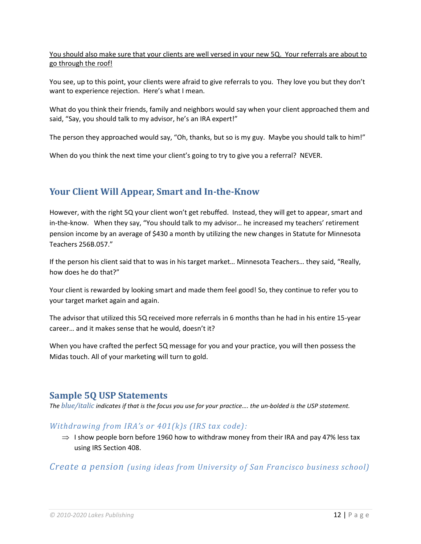You should also make sure that your clients are well versed in your new 5Q. Your referrals are about to go through the roof!

You see, up to this point, your clients were afraid to give referrals to you. They love you but they don't want to experience rejection. Here's what I mean.

What do you think their friends, family and neighbors would say when your client approached them and said, "Say, you should talk to my advisor, he's an IRA expert!"

The person they approached would say, "Oh, thanks, but so is my guy. Maybe you should talk to him!"

When do you think the next time your client's going to try to give you a referral? NEVER.

# <span id="page-12-0"></span>**Your Client Will Appear, Smart and In-the-Know**

However, with the right 5Q your client won't get rebuffed. Instead, they will get to appear, smart and in-the-know. When they say, "You should talk to my advisor… he increased my teachers' retirement pension income by an average of \$430 a month by utilizing the new changes in Statute for Minnesota Teachers 256B.057."

If the person his client said that to was in his target market… Minnesota Teachers… they said, "Really, how does he do that?"

Your client is rewarded by looking smart and made them feel good! So, they continue to refer you to your target market again and again.

The advisor that utilized this 5Q received more referrals in 6 months than he had in his entire 15-year career… and it makes sense that he would, doesn't it?

When you have crafted the perfect 5Q message for you and your practice, you will then possess the Midas touch. All of your marketing will turn to gold.

#### <span id="page-12-1"></span>**Sample 5Q USP Statements**

*The blue/italic indicates if that is the focus you use for your practice…. the un‐bolded is the USP statement.*

#### *Withdrawing from IRA's or 401(k)s (IRS tax code):*

 $\Rightarrow$  I show people born before 1960 how to withdraw money from their IRA and pay 47% less tax using IRS Section 408.

*Create a pension (using ideas from University of San Francisco business school)*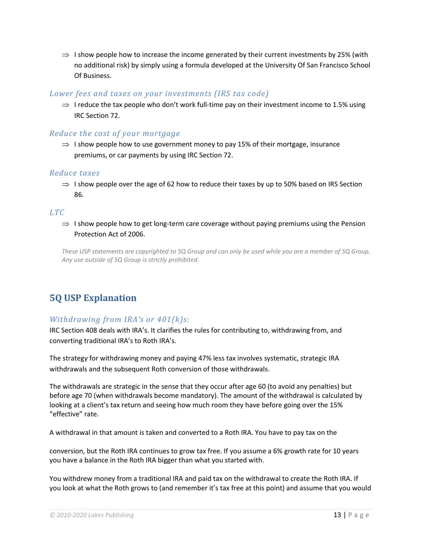$\Rightarrow$  I show people how to increase the income generated by their current investments by 25% (with no additional risk) by simply using a formula developed at the University Of San Francisco School Of Business.

#### *Lower fees and taxes on your investments (IRS tax code)*

 $\Rightarrow$  I reduce the tax people who don't work full-time pay on their investment income to 1.5% using IRC Section 72.

#### *Reduce the cost of your mortgage*

 $\Rightarrow$  I show people how to use government money to pay 15% of their mortgage, insurance premiums, or car payments by using IRC Section 72.

#### *Reduce taxes*

 $\Rightarrow$  I show people over the age of 62 how to reduce their taxes by up to 50% based on IRS Section 86.

#### *LTC*

 $\Rightarrow$  I show people how to get long-term care coverage without paying premiums using the Pension Protection Act of 2006.

*These USP statements are copyrighted to 5Q Group and can only be used while you are a member of 5Q Group. Any use outside of 5Q Group is strictly prohibited.*

# <span id="page-13-0"></span>**5Q USP Explanation**

#### *Withdrawing from IRA's or 401(k)s:*

IRC Section 408 deals with IRA's. It clarifies the rules for contributing to, withdrawing from, and converting traditional IRA's to Roth IRA's.

The strategy for withdrawing money and paying 47% less tax involves systematic, strategic IRA withdrawals and the subsequent Roth conversion of those withdrawals.

The withdrawals are strategic in the sense that they occur after age 60 (to avoid any penalties) but before age 70 (when withdrawals become mandatory). The amount of the withdrawal is calculated by looking at a client's tax return and seeing how much room they have before going over the 15% "effective" rate.

A withdrawal in that amount is taken and converted to a Roth IRA. You have to pay tax on the

conversion, but the Roth IRA continues to grow tax free. If you assume a 6% growth rate for 10 years you have a balance in the Roth IRA bigger than what you started with.

You withdrew money from a traditional IRA and paid tax on the withdrawal to create the Roth IRA. If you look at what the Roth grows to (and remember it's tax free at this point) and assume that you would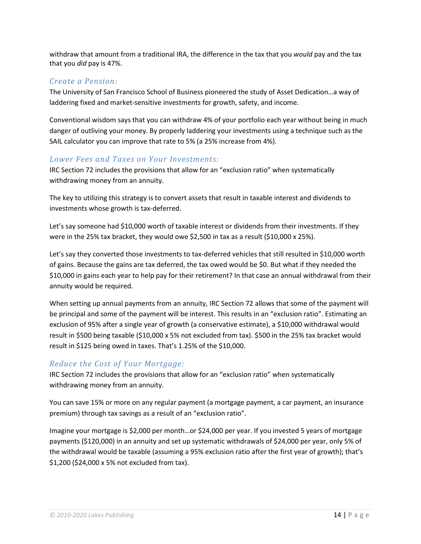withdraw that amount from a traditional IRA, the difference in the tax that you *would* pay and the tax that you *did* pay is 47%.

#### *Create a Pension:*

The University of San Francisco School of Business pioneered the study of Asset Dedication…a way of laddering fixed and market-sensitive investments for growth, safety, and income.

Conventional wisdom says that you can withdraw 4% of your portfolio each year without being in much danger of outliving your money. By properly laddering your investments using a technique such as the SAIL calculator you can improve that rate to 5% (a 25% increase from 4%).

#### *Lower Fees and Taxes on Your Investments:*

IRC Section 72 includes the provisions that allow for an "exclusion ratio" when systematically withdrawing money from an annuity.

The key to utilizing this strategy is to convert assets that result in taxable interest and dividends to investments whose growth is tax‐deferred.

Let's say someone had \$10,000 worth of taxable interest or dividends from their investments. If they were in the 25% tax bracket, they would owe \$2,500 in tax as a result (\$10,000 x 25%).

Let's say they converted those investments to tax-deferred vehicles that still resulted in \$10,000 worth of gains. Because the gains are tax deferred, the tax owed would be \$0. But what if they needed the \$10,000 in gains each year to help pay for their retirement? In that case an annual withdrawal from their annuity would be required.

When setting up annual payments from an annuity, IRC Section 72 allows that some of the payment will be principal and some of the payment will be interest. This results in an "exclusion ratio". Estimating an exclusion of 95% after a single year of growth (a conservative estimate), a \$10,000 withdrawal would result in \$500 being taxable (\$10,000 x 5% not excluded from tax). \$500 in the 25% tax bracket would result in \$125 being owed in taxes. That's 1.25% of the \$10,000.

#### *Reduce the Cost of Your Mortgage:*

IRC Section 72 includes the provisions that allow for an "exclusion ratio" when systematically withdrawing money from an annuity.

You can save 15% or more on any regular payment (a mortgage payment, a car payment, an insurance premium) through tax savings as a result of an "exclusion ratio".

Imagine your mortgage is \$2,000 per month…or \$24,000 per year. If you invested 5 years of mortgage payments (\$120,000) in an annuity and set up systematic withdrawals of \$24,000 per year, only 5% of the withdrawal would be taxable (assuming a 95% exclusion ratio after the first year of growth); that's \$1,200 (\$24,000 x 5% not excluded from tax).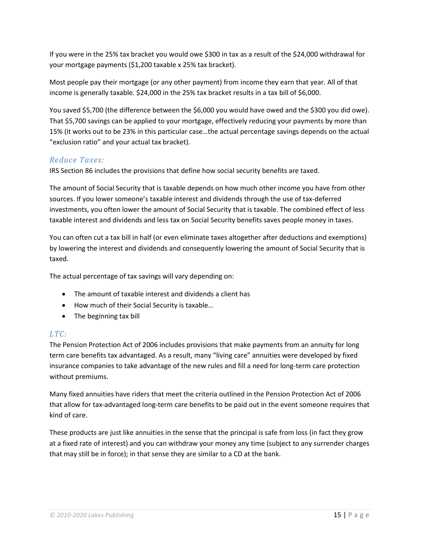If you were in the 25% tax bracket you would owe \$300 in tax as a result of the \$24,000 withdrawal for your mortgage payments (\$1,200 taxable x 25% tax bracket).

Most people pay their mortgage (or any other payment) from income they earn that year. All of that income is generally taxable. \$24,000 in the 25% tax bracket results in a tax bill of \$6,000.

You saved \$5,700 (the difference between the \$6,000 you would have owed and the \$300 you did owe). That \$5,700 savings can be applied to your mortgage, effectively reducing your payments by more than 15% (it works out to be 23% in this particular case…the actual percentage savings depends on the actual "exclusion ratio" and your actual tax bracket).

#### *Reduce Taxes:*

IRS Section 86 includes the provisions that define how social security benefits are taxed.

The amount of Social Security that is taxable depends on how much other income you have from other sources. If you lower someone's taxable interest and dividends through the use of tax‐deferred investments, you often lower the amount of Social Security that is taxable. The combined effect of less taxable interest and dividends and less tax on Social Security benefits saves people money in taxes.

You can often cut a tax bill in half (or even eliminate taxes altogether after deductions and exemptions) by lowering the interest and dividends and consequently lowering the amount of Social Security that is taxed.

The actual percentage of tax savings will vary depending on:

- The amount of taxable interest and dividends a client has
- How much of their Social Security is taxable…
- The beginning tax bill

#### *LTC:*

The Pension Protection Act of 2006 includes provisions that make payments from an annuity for long term care benefits tax advantaged. As a result, many "living care" annuities were developed by fixed insurance companies to take advantage of the new rules and fill a need for long-term care protection without premiums.

Many fixed annuities have riders that meet the criteria outlined in the Pension Protection Act of 2006 that allow for tax‐advantaged long‐term care benefits to be paid out in the event someone requires that kind of care.

These products are just like annuities in the sense that the principal is safe from loss (in fact they grow at a fixed rate of interest) and you can withdraw your money any time (subject to any surrender charges that may still be in force); in that sense they are similar to a CD at the bank.